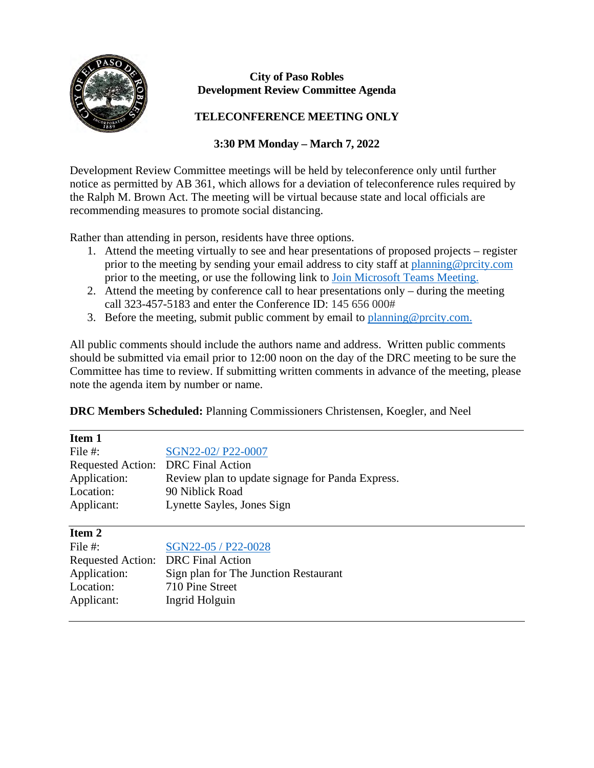

## **City of Paso Robles Development Review Committee Agenda**

## **TELECONFERENCE MEETING ONLY**

## **3:30 PM Monday – March 7, 2022**

Development Review Committee meetings will be held by teleconference only until further notice as permitted by AB 361, which allows for a deviation of teleconference rules required by the Ralph M. Brown Act. The meeting will be virtual because state and local officials are recommending measures to promote social distancing.

Rather than attending in person, residents have three options.

- 1. Attend the meeting virtually to see and hear presentations of proposed projects register prior to the meeting by sending your email address to city staff at [planning@prcity.com](mailto:planning@prcity.com) prior to the meeting, or use the following link to [Join Microsoft Teams Meeting.](https://teams.microsoft.com/l/meetup-join/19%3ameeting_NGNiYWNkNzQtZWU4Yi00NTk4LTk1MDUtMWNlZjE4NDQzZTUz%40thread.v2/0?context=%7b%22Tid%22%3a%221a5b5698-d524-42f2-abba-fb4615f7b1d6%22%2c%22Oid%22%3a%2266ba4e2a-3671-4e72-9d7a-eef3135a0aef%22%7d)
- 2. Attend the meeting by conference call to hear presentations only during the meeting call 323-457-5183 and enter the Conference ID: 145 656 000#
- 3. Before the meeting, submit public comment by email to planning @prcity.com.

All public comments should include the authors name and address. Written public comments should be submitted via email prior to 12:00 noon on the day of the DRC meeting to be sure the Committee has time to review. If submitting written comments in advance of the meeting, please note the agenda item by number or name.

**DRC Members Scheduled:** Planning Commissioners Christensen, Koegler, and Neel

| Item 1        |                                                  |
|---------------|--------------------------------------------------|
| File $#$ :    | SGN22-02/P22-0007                                |
|               | Requested Action: DRC Final Action               |
| Application:  | Review plan to update signage for Panda Express. |
| Location:     | 90 Niblick Road                                  |
| Applicant:    | Lynette Sayles, Jones Sign                       |
| <b>Item 2</b> |                                                  |

| File $#$ :                         | SGN22-05 / P22-0028                   |
|------------------------------------|---------------------------------------|
| Requested Action: DRC Final Action |                                       |
| Application:                       | Sign plan for The Junction Restaurant |
| Location:                          | 710 Pine Street                       |
| Applicant:                         | Ingrid Holguin                        |
|                                    |                                       |